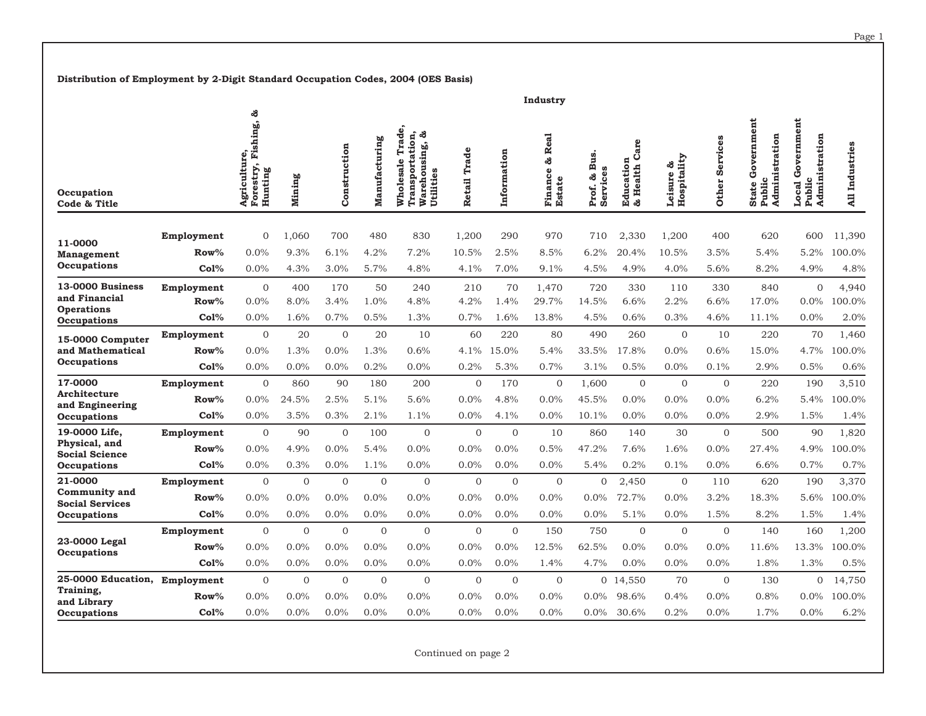**Distribution of Employment by 2-Digit Standard Occupation Codes, 2004 (OES Basis)**

|                                                                                 |                               |                                                    |                              |                                |                                   |                                                                          |                          |                                 | Industry                               |                                |                                        |                                   |                              |                                                                |                                                                    |                          |
|---------------------------------------------------------------------------------|-------------------------------|----------------------------------------------------|------------------------------|--------------------------------|-----------------------------------|--------------------------------------------------------------------------|--------------------------|---------------------------------|----------------------------------------|--------------------------------|----------------------------------------|-----------------------------------|------------------------------|----------------------------------------------------------------|--------------------------------------------------------------------|--------------------------|
| Occupation<br>Code & Title                                                      |                               | ౘ<br>Agriculture,<br>Forestry, Fishing,<br>Hunting | Mining                       | Construction                   | Manufacturing                     | Trade,<br>Transportation,<br>ౘ<br>Warehousing,<br>Wholesale<br>Utilities | Retail Trade             | Information                     | Real<br>ಜಿ<br>Finance<br><b>Estate</b> | Bus.<br>Services<br>ౘ<br>Prof. | Care<br><b>Education</b><br>& Health C | Hospitality<br>ౘ<br>Leisure       | Services<br><b>Other</b>     | ernment<br>dministration<br>Gov<br><b>State</b><br>Publi<br>ď. | ernment<br>Administration<br>Gov<br>$\mathbf{c}$<br>Local<br>Publi | All Industries           |
| 11-0000<br><b>Management</b><br>Occupations                                     | Employment<br>$Row\%$<br>Co1% | $\overline{0}$<br>0.0%<br>0.0%                     | 1.060<br>9.3%<br>4.3%        | 700<br>6.1%<br>3.0%            | 480<br>4.2%<br>5.7%               | 830<br>7.2%<br>4.8%                                                      | 1,200<br>10.5%<br>4.1%   | 290<br>2.5%<br>7.0%             | 970<br>8.5%<br>9.1%                    | 710<br>6.2%<br>4.5%            | 2,330<br>20.4%<br>4.9%                 | 1,200<br>10.5%<br>4.0%            | 400<br>3.5%<br>5.6%          | 620<br>5.4%<br>8.2%                                            | 600<br>5.2%<br>4.9%                                                | 11,390<br>100.0%<br>4.8% |
| 13-0000 Business<br>and Financial<br><b>Operations</b><br>Occupations           | Employment<br>$Row\%$<br>Col% | $\overline{0}$<br>0.0%<br>0.0%                     | 400<br>8.0%<br>1.6%          | 170<br>3.4%<br>0.7%            | 50<br>1.0%<br>0.5%                | 240<br>4.8%<br>1.3%                                                      | 210<br>4.2%<br>0.7%      | 70<br>1.4%<br>1.6%              | 1,470<br>29.7%<br>13.8%                | 720<br>14.5%<br>4.5%           | 330<br>6.6%<br>0.6%                    | 110<br>2.2%<br>0.3%               | 330<br>6.6%<br>4.6%          | 840<br>17.0%<br>11.1%                                          | $\mathbf{O}$<br>$0.0\%$<br>0.0%                                    | 4,940<br>100.0%<br>2.0%  |
| 15-0000 Computer<br>and Mathematical<br>Occupations                             | Employment<br>Row%<br>Col%    | $\overline{0}$<br>0.0%<br>0.0%                     | 20<br>1.3%<br>0.0%           | $\mathbf{O}$<br>0.0%<br>0.0%   | 20<br>1.3%<br>0.2%                | 10<br>0.6%<br>0.0%                                                       | 60<br>4.1%<br>0.2%       | 220<br>15.0%<br>5.3%            | 80<br>5.4%<br>0.7%                     | 490<br>33.5%<br>3.1%           | 260<br>17.8%<br>0.5%                   | $\overline{0}$<br>0.0%<br>0.0%    | 10<br>0.6%<br>0.1%           | 220<br>15.0%<br>2.9%                                           | 70<br>4.7%<br>0.5%                                                 | 1,460<br>100.0%<br>0.6%  |
| 17-0000<br>Architecture<br>and Engineering<br>Occupations                       | Employment<br>Row%<br>Col%    | $\Omega$<br>0.0%<br>0.0%                           | 860<br>24.5%<br>3.5%         | 90<br>2.5%<br>0.3%             | 180<br>5.1%<br>2.1%               | 200<br>5.6%<br>1.1%                                                      | $\Omega$<br>0.0%<br>0.0% | 170<br>4.8%<br>4.1%             | $\Omega$<br>0.0%<br>0.0%               | 1.600<br>45.5%<br>10.1%        | $\Omega$<br>0.0%<br>0.0%               | $\Omega$<br>0.0%<br>0.0%          | $\Omega$<br>$0.0\%$<br>0.0%  | 220<br>6.2%<br>2.9%                                            | 190<br>5.4%<br>1.5%                                                | 3,510<br>100.0%<br>1.4%  |
| 19-0000 Life,<br>Physical, and<br><b>Social Science</b><br>Occupations          | Employment<br>$Row\%$<br>Co1% | $\overline{0}$<br>0.0%<br>0.0%                     | 90<br>4.9%<br>0.3%           | $\mathbf{0}$<br>0.0%<br>0.0%   | 100<br>5.4%<br>1.1%               | $\mathbf{0}$<br>0.0%<br>0.0%                                             | $\Omega$<br>0.0%<br>0.0% | $\mathbf{0}$<br>0.0%<br>0.0%    | 10<br>0.5%<br>0.0%                     | 860<br>47.2%<br>5.4%           | 140<br>7.6%<br>0.2%                    | 30<br>1.6%<br>0.1%                | $\mathbf{0}$<br>0.0%<br>0.0% | 500<br>27.4%<br>6.6%                                           | 90<br>4.9%<br>0.7%                                                 | 1,820<br>100.0%<br>0.7%  |
| 21-0000<br><b>Community and</b><br><b>Social Services</b><br>Occupations        | Employment<br>$Row\%$<br>Co1% | $\overline{0}$<br>0.0%<br>0.0%                     | $\mathbf{0}$<br>0.0%<br>0.0% | $\mathbf{O}$<br>0.0%<br>0.0%   | $\overline{0}$<br>0.0%<br>$0.0\%$ | $\mathbf{0}$<br>0.0%<br>0.0%                                             | $\Omega$<br>0.0%<br>0.0% | $\mathbf{0}$<br>0.0%<br>0.0%    | $\mathbf{0}$<br>0.0%<br>0.0%           | $\overline{0}$<br>0.0%<br>0.0% | 2,450<br>72.7%<br>5.1%                 | $\overline{0}$<br>$0.0\%$<br>0.0% | 110<br>3.2%<br>1.5%          | 620<br>18.3%<br>8.2%                                           | 190<br>5.6%<br>1.5%                                                | 3,370<br>100.0%<br>1.4%  |
| 23-0000 Legal<br>Occupations                                                    | Employment<br>Row%<br>Co1%    | $\Omega$<br>0.0%<br>0.0%                           | $\Omega$<br>0.0%<br>$0.0\%$  | $\mathbf{0}$<br>0.0%<br>0.0%   | $\overline{0}$<br>0.0%<br>0.0%    | $\mathbf{0}$<br>0.0%<br>0.0%                                             | $\Omega$<br>0.0%<br>0.0% | $\mathbf{0}$<br>0.0%<br>$0.0\%$ | 150<br>12.5%<br>1.4%                   | 750<br>62.5%<br>4.7%           | $\mathbf{0}$<br>0.0%<br>0.0%           | $\mathbf{0}$<br>0.0%<br>$0.0\%$   | $\Omega$<br>0.0%<br>0.0%     | 140<br>11.6%<br>1.8%                                           | 160<br>13.3%<br>1.3%                                               | 1,200<br>00.0%<br>0.5%   |
| 25-0000 Education, Employment<br>Training,<br>and Library<br><b>Occupations</b> | Row%<br>Col%                  | $\overline{0}$<br>0.0%<br>0.0%                     | $\Omega$<br>0.0%<br>0.0%     | $\overline{0}$<br>0.0%<br>0.0% | $\overline{0}$<br>0.0%<br>0.0%    | $\mathbf{0}$<br>0.0%<br>0.0%                                             | $\Omega$<br>0.0%<br>0.0% | $\mathbf{0}$<br>0.0%<br>0.0%    | $\mathbf{0}$<br>0.0%<br>0.0%           | 0<br>0.0%<br>$0.0\%$           | 14,550<br>98.6%<br>30.6%               | 70<br>0.4%<br>0.2%                | $\mathbf{0}$<br>0.0%<br>0.0% | 130<br>0.8%<br>1.7%                                            | $\mathbf{O}$<br>0.0%<br>0.0%                                       | 14,750<br>100.0%<br>6.2% |

Continued on page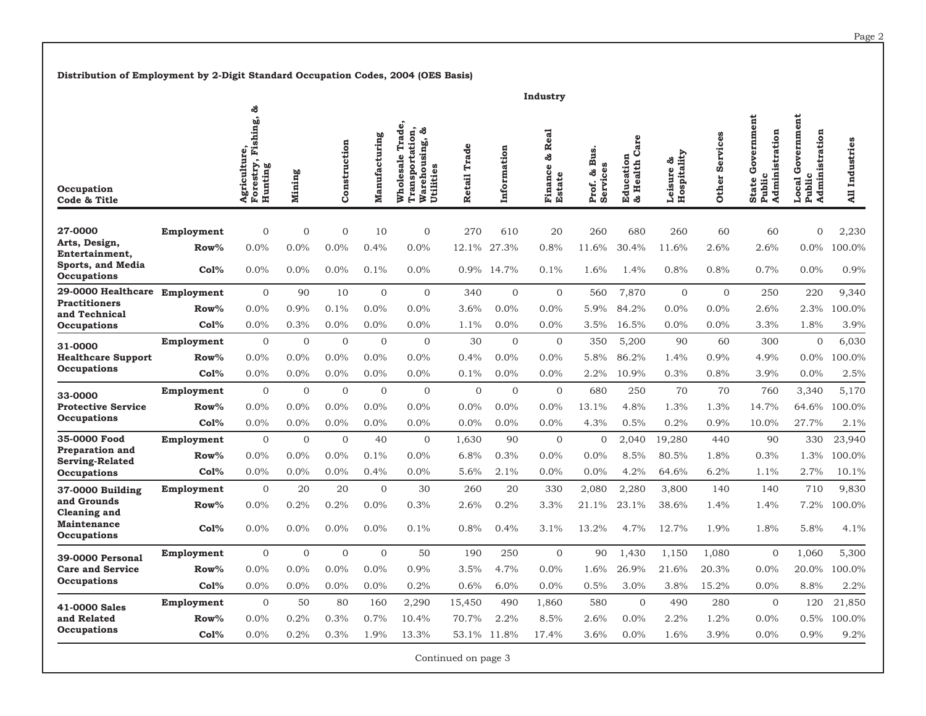**Distribution of Employment by 2-Digit Standard Occupation Codes, 2004 (OES Basis)**

|                                                           | Industry          |                                                     |                |                |                |                                                                                |                     |              |                                           |                                             |                                       |                             |                   |                                                        |                                                 |                               |
|-----------------------------------------------------------|-------------------|-----------------------------------------------------|----------------|----------------|----------------|--------------------------------------------------------------------------------|---------------------|--------------|-------------------------------------------|---------------------------------------------|---------------------------------------|-----------------------------|-------------------|--------------------------------------------------------|-------------------------------------------------|-------------------------------|
| Occupation<br>Code & Title                                |                   | ಸೆ<br>Forestry, Fishing,<br>Agriculture,<br>Hunting | Mining         | Construction   | Manufacturing  | Trade,<br>Transportation,<br>టి<br>Warehousing,<br>Utilities<br>Wholesale<br>Š | Retail Trade        | Information  | Real<br>తి<br>ω<br><b>Estate</b><br>Finan | Bus.<br><b>SQ</b><br>Services<br>ෂ<br>Prof. | Care<br>ducation<br>Health<br>ಹೆ<br>囪 | Hospitality<br>ౘ<br>Leisure | Services<br>Other | Government<br>Administration<br>Public<br><b>State</b> | Government<br>Administration<br>Public<br>Local | Industries<br>$\overline{AB}$ |
| 27-0000                                                   | Employment        | $\overline{0}$                                      | $\overline{0}$ | $\Omega$       | 10             | $\mathbf{0}$                                                                   | 270                 | 610          | 20                                        | 260                                         | 680                                   | 260                         | 60                | 60                                                     | $\overline{0}$                                  | 2,230                         |
| Arts, Design,                                             | Row%              | 0.0%                                                | 0.0%           | 0.0%           | 0.4%           | 0.0%                                                                           | 12.1%               | 27.3%        | 0.8%                                      | 11.6%                                       | 30.4%                                 | 11.6%                       | 2.6%              | 2.6%                                                   | $0.0\%$                                         | 100.0%                        |
| Entertainment,<br><b>Sports, and Media</b><br>Occupations | Co1%              | 0.0%                                                | 0.0%           | 0.0%           | 0.1%           | 0.0%                                                                           |                     | 0.9% 14.7%   | 0.1%                                      | 1.6%                                        | 1.4%                                  | 0.8%                        | 0.8%              | 0.7%                                                   | 0.0%                                            | 0.9%                          |
| 29-0000 Healthcare Employment                             |                   | $\Omega$                                            | 90             | 10             | $\overline{0}$ | $\overline{0}$                                                                 | 340                 | $\mathbf{0}$ | $\mathbf{O}$                              | 560                                         | 7,870                                 | $\Omega$                    | $\Omega$          | 250                                                    | 220                                             | 9,340                         |
| <b>Practitioners</b><br>and Technical                     | ${\bf Row}\%$     | 0.0%                                                | 0.9%           | 0.1%           | 0.0%           | 0.0%                                                                           | 3.6%                | 0.0%         | 0.0%                                      | 5.9%                                        | 84.2%                                 | 0.0%                        | $0.0\%$           | 2.6%                                                   | 2.3%                                            | 00.0%                         |
| Occupations                                               | Co1%              | 0.0%                                                | 0.3%           | 0.0%           | 0.0%           | 0.0%                                                                           | 1.1%                | 0.0%         | 0.0%                                      | 3.5%                                        | 16.5%                                 | 0.0%                        | $0.0\%$           | 3.3%                                                   | 1.8%                                            | 3.9%                          |
| 31-0000<br><b>Healthcare Support</b><br>Occupations       | Employment        | $\Omega$                                            | $\Omega$       | $\Omega$       | $\Omega$       | $\Omega$                                                                       | 30                  | $\Omega$     | $\Omega$                                  | 350                                         | 5,200                                 | 90                          | 60                | 300                                                    | $\Omega$                                        | 6,030                         |
|                                                           | $Row\%$           | 0.0%                                                | 0.0%           | 0.0%           | 0.0%           | 0.0%                                                                           | 0.4%                | 0.0%         | $0.0\%$                                   | 5.8%                                        | 86.2%                                 | 1.4%                        | 0.9%              | 4.9%                                                   | $0.0\%$                                         | 00.0%                         |
|                                                           | Co1%              | 0.0%                                                | 0.0%           | 0.0%           | 0.0%           | 0.0%                                                                           | 0.1%                | 0.0%         | 0.0%                                      | 2.2%                                        | 10.9%                                 | 0.3%                        | 0.8%              | 3.9%                                                   | 0.0%                                            | 2.5%                          |
| 33-0000<br><b>Protective Service</b>                      | Employment        | $\mathbf{0}$                                        | $\overline{0}$ | $\overline{0}$ | $\overline{0}$ | $\overline{0}$                                                                 | $\Omega$            | $\mathbf{0}$ | $\mathbf{0}$                              | 680                                         | 250                                   | 70                          | 70                | 760                                                    | 3,340                                           | 5,170                         |
|                                                           | Row%              | 0.0%                                                | 0.0%           | 0.0%           | 0.0%           | 0.0%                                                                           | 0.0%                | 0.0%         | 0.0%                                      | 13.1%                                       | 4.8%                                  | 1.3%                        | 1.3%              | 14.7%                                                  | 64.6%                                           | 100.0%                        |
| <b>Occupations</b>                                        | Co1%              | 0.0%                                                | 0.0%           | 0.0%           | 0.0%           | 0.0%                                                                           | 0.0%                | 0.0%         | $0.0\%$                                   | 4.3%                                        | 0.5%                                  | 0.2%                        | 0.9%              | 10.0%                                                  | 27.7%                                           | 2.1%                          |
| 35-0000 Food                                              | Employment        | $\overline{0}$                                      | $\overline{0}$ | $\Omega$       | 40             | $\mathbf{0}$                                                                   | 1,630               | 90           | $\overline{0}$                            | $\overline{0}$                              | 2,040                                 | 19,280                      | 440               | 90                                                     | 330                                             | 23,940                        |
| <b>Preparation and</b><br><b>Serving-Related</b>          | $Row\%$           | 0.0%                                                | $0.0\%$        | 0.0%           | 0.1%           | 0.0%                                                                           | 6.8%                | 0.3%         | 0.0%                                      | 0.0%                                        | 8.5%                                  | 80.5%                       | 1.8%              | 0.3%                                                   | 1.3%                                            | 100.0%                        |
| Occupations                                               | Co1%              | 0.0%                                                | 0.0%           | 0.0%           | 0.4%           | 0.0%                                                                           | 5.6%                | 2.1%         | 0.0%                                      | 0.0%                                        | 4.2%                                  | 64.6%                       | 6.2%              | 1.1%                                                   | 2.7%                                            | 10.1%                         |
| 37-0000 Building                                          | Employment        | $\mathbf{0}$                                        | 20             | 20             | $\overline{0}$ | 30                                                                             | 260                 | 20           | 330                                       | 2,080                                       | 2,280                                 | 3,800                       | 140               | 140                                                    | 710                                             | 9,830                         |
| and Grounds<br><b>Cleaning and</b>                        | $Row\%$           | 0.0%                                                | 0.2%           | 0.2%           | 0.0%           | 0.3%                                                                           | 2.6%                | 0.2%         | 3.3%                                      | 21.1%                                       | 23.1%                                 | 38.6%                       | 1.4%              | 1.4%                                                   | 7.2%                                            | 100.0%                        |
| <b>Maintenance</b><br>Occupations                         | Col%              | 0.0%                                                | 0.0%           | 0.0%           | 0.0%           | 0.1%                                                                           | 0.8%                | 0.4%         | 3.1%                                      | 13.2%                                       | 4.7%                                  | 12.7%                       | 1.9%              | 1.8%                                                   | 5.8%                                            | 4.1%                          |
| 39-0000 Personal                                          | Employment        | $\overline{0}$                                      | $\Omega$       | $\Omega$       | $\overline{0}$ | 50                                                                             | 190                 | 250          | $\Omega$                                  | 90                                          | 1.430                                 | 1,150                       | 1.080             | $\Omega$                                               | 1.060                                           | 5,300                         |
| <b>Care and Service</b>                                   | $Row\%$           | 0.0%                                                | 0.0%           | $0.0\%$        | 0.0%           | 0.9%                                                                           | 3.5%                | 4.7%         | 0.0%                                      | 1.6%                                        | 26.9%                                 | 21.6%                       | 20.3%             | $0.0\%$                                                | 20.0%                                           | 100.0%                        |
| Occupations                                               | Co <sub>1</sub> % | 0.0%                                                | 0.0%           | 0.0%           | 0.0%           | 0.2%                                                                           | 0.6%                | 6.0%         | 0.0%                                      | 0.5%                                        | 3.0%                                  | 3.8%                        | 15.2%             | 0.0%                                                   | 8.8%                                            | 2.2%                          |
| 41-0000 Sales                                             | Employment        | $\mathbf{0}$                                        | 50             | 80             | 160            | 2,290                                                                          | 15,450              | 490          | 1,860                                     | 580                                         | $\mathbf{0}$                          | 490                         | 280               | $\overline{0}$                                         | 120                                             | 21,850                        |
| and Related                                               | $Row\%$           | 0.0%                                                | 0.2%           | 0.3%           | 0.7%           | 10.4%                                                                          | 70.7%               | 2.2%         | 8.5%                                      | 2.6%                                        | 0.0%                                  | 2.2%                        | 1.2%              | 0.0%                                                   | 0.5%                                            | 100.0%                        |
| Occupations                                               | Co1%              | 0.0%                                                | 0.2%           | 0.3%           | 1.9%           | 13.3%                                                                          | 53.1%               | 11.8%        | 17.4%                                     | 3.6%                                        | 0.0%                                  | 1.6%                        | 3.9%              | 0.0%                                                   | 0.9%                                            | 9.2%                          |
|                                                           |                   |                                                     |                |                |                |                                                                                | Continued on page 3 |              |                                           |                                             |                                       |                             |                   |                                                        |                                                 |                               |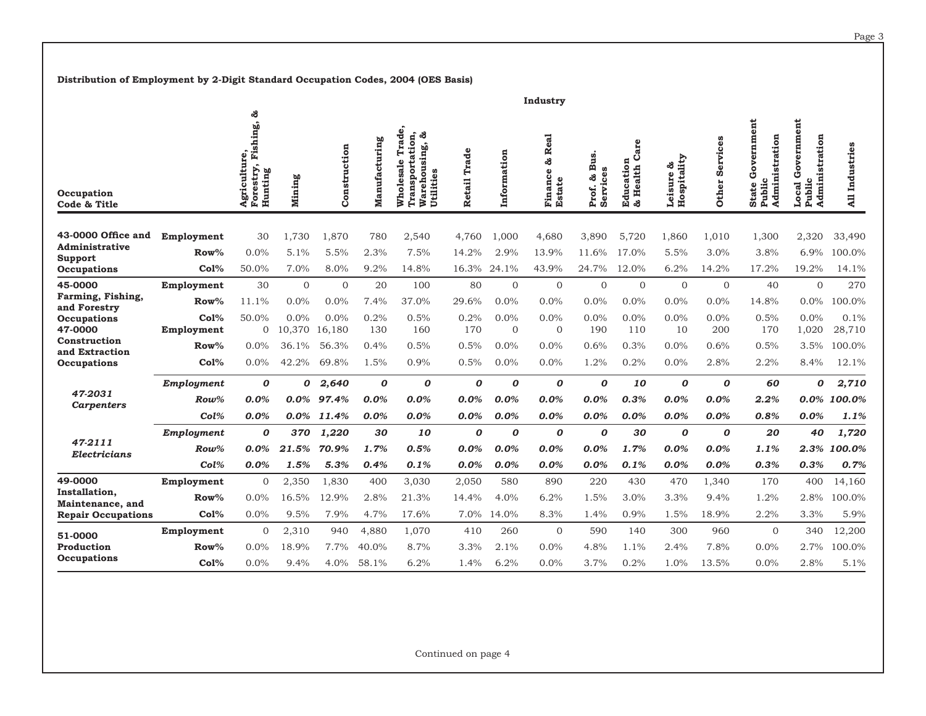**Distribution of Employment by 2-Digit Standard Occupation Codes, 2004 (OES Basis)**

|                                                                                               |                    |                                                   |                |                |                  |                                                                           |                  |                      | Industry                                                  |                                       |                                       |                             |                          |                                                               |                                                                  |                |
|-----------------------------------------------------------------------------------------------|--------------------|---------------------------------------------------|----------------|----------------|------------------|---------------------------------------------------------------------------|------------------|----------------------|-----------------------------------------------------------|---------------------------------------|---------------------------------------|-----------------------------|--------------------------|---------------------------------------------------------------|------------------------------------------------------------------|----------------|
| Occupation<br>Code & Title                                                                    |                    | ౘ<br>Forestry, Fishing,<br>Agriculture<br>Hunting | Mining         | Construction   | Manufacturing    | Trade,<br>Transportation,<br>ಸೆ<br>Warehousing,<br>Wholesale<br>Utilities | Trade<br>Retail  | Information          | <b>Real</b><br>ಸೆ<br>$\bullet$<br>Financ<br><b>Estate</b> | <b>Bus</b><br>Services<br>ತಿ<br>Prof. | are<br>ت<br>Education<br>Health<br>කී | Hospitality<br>ౘ<br>Leisure | Services<br><b>Other</b> | ernment<br>stration<br>Gov<br>Admini<br><b>State</b><br>Publi | ent<br>ernm<br>stration<br>š<br>ق<br>Admini<br>cal<br>Publi<br>Š | All Industries |
| 43-0000 Office and                                                                            | Employment         | 30                                                | 1,730          | 1,870          | 780              | 2,540                                                                     | 4,760            | 1,000                | 4,680                                                     | 3,890                                 | 5,720                                 | 1,860                       | 1,010                    | 1,300                                                         | 2,320                                                            | 33,490         |
| Administrative                                                                                | $Row\%$            | 0.0%                                              | 5.1%           | 5.5%           | 2.3%             | 7.5%                                                                      | 14.2%            | 2.9%                 | 13.9%                                                     | 11.6%                                 | 17.0%                                 | 5.5%                        | 3.0%                     | 3.8%                                                          | 6.9%                                                             | 100.0%         |
| Support<br>Occupations                                                                        | Col%               | 50.0%                                             | 7.0%           | 8.0%           | 9.2%             | 14.8%                                                                     | 16.3%            | 24.1%                | 43.9%                                                     | 24.7%                                 | 12.0%                                 | 6.2%                        | 14.2%                    | 17.2%                                                         | 19.2%                                                            | 14.1%          |
| 45-0000                                                                                       | Employment         | 30                                                | $\mathbf{0}$   | $\mathbf{0}$   | 20               | 100                                                                       | 80               | $\mathbf{0}$         | $\overline{0}$                                            | $\overline{0}$                        | $\overline{0}$                        | $\mathbf{0}$                | $\mathbf{0}$             | 40                                                            | $\mathbf{O}$                                                     | 270            |
| Farming, Fishing,<br>and Forestry<br>Occupations<br>47-0000<br>Construction<br>and Extraction | Row%               | 11.1%                                             | 0.0%           | 0.0%           | 7.4%             | 37.0%                                                                     | 29.6%            | 0.0%                 | 0.0%                                                      | 0.0%                                  | 0.0%                                  | $0.0\%$                     | 0.0%                     | 14.8%                                                         | $0.0\%$                                                          | 100.0%         |
|                                                                                               | Co1%<br>Employment | 50.0%<br>$\overline{0}$                           | 0.0%<br>10,370 | 0.0%<br>16.180 | 0.2%<br>130      | 0.5%<br>160                                                               | 0.2%<br>170      | 0.0%<br>$\mathbf{0}$ | 0.0%<br>$\Omega$                                          | 0.0%<br>190                           | 0.0%<br>110                           | $0.0\%$<br>10               | 0.0%<br>200              | 0.5%<br>170                                                   | 0.0%<br>1,020                                                    | 0.1%<br>28,710 |
|                                                                                               | $Row\%$            | $0.0\%$                                           | 36.1%          | 56.3%          | 0.4%             | 0.5%                                                                      | 0.5%             | 0.0%                 | 0.0%                                                      | 0.6%                                  | 0.3%                                  | 0.0%                        | 0.6%                     | 0.5%                                                          | 3.5%                                                             | 100.0%         |
| Occupations                                                                                   | Co1%               | 0.0%                                              | 42.2%          | 69.8%          | 1.5%             | 0.9%                                                                      | 0.5%             | 0.0%                 | 0.0%                                                      | 1.2%                                  | 0.2%                                  | 0.0%                        | 2.8%                     | 2.2%                                                          | 8.4%                                                             | 12.1%          |
|                                                                                               | Employment         | 0                                                 | 0              | 2,640          | $\boldsymbol{o}$ | 0                                                                         | $\boldsymbol{o}$ | $\boldsymbol{o}$     | $\boldsymbol{o}$                                          | 0                                     | 10                                    | 0                           | $\boldsymbol{o}$         | 60                                                            | 0                                                                | 2,710          |
| 47-2031<br>Carpenters                                                                         | $Row\%$            | 0.0%                                              | 0.0%           | 97.4%          | $0.0\%$          | $0.0\%$                                                                   | 0.0%             | $0.0\%$              | 0.0%                                                      | $0.0\%$                               | 0.3%                                  | $0.0\%$                     | $0.0\%$                  | 2.2%                                                          | $0.0\%$                                                          | 100.0%         |
|                                                                                               | Col%               | 0.0%                                              | 0.0%           | 11.4%          | 0.0%             | 0.0%                                                                      | 0.0%             | 0.0%                 | 0.0%                                                      | 0.0%                                  | 0.0%                                  | 0.0%                        | 0.0%                     | 0.8%                                                          | 0.0%                                                             | 1.1%           |
|                                                                                               | Employment         | 0                                                 | 370            | 1,220          | 30               | 10                                                                        | $\boldsymbol{o}$ | $\boldsymbol{o}$     | $\boldsymbol{o}$                                          | 0                                     | 30                                    | 0                           | $\boldsymbol{o}$         | 20                                                            | 40                                                               | 1,720          |
| 47-2111<br>Electricians                                                                       | Row%               | $0.0\%$                                           | 21.5%          | 70.9%          | 1.7%             | 0.5%                                                                      | 0.0%             | 0.0%                 | 0.0%                                                      | 0.0%                                  | 1.7%                                  | 0.0%                        | 0.0%                     | 1.1%                                                          | 2.3%                                                             | 100.0%         |
|                                                                                               | Col%               | 0.0%                                              | 1.5%           | 5.3%           | 0.4%             | 0.1%                                                                      | 0.0%             | 0.0%                 | 0.0%                                                      | 0.0%                                  | 0.1%                                  | 0.0%                        | 0.0%                     | 0.3%                                                          | 0.3%                                                             | 0.7%           |
| 49-0000                                                                                       | Employment         | 0                                                 | 2,350          | 1,830          | 400              | 3,030                                                                     | 2,050            | 580                  | 890                                                       | 220                                   | 430                                   | 470                         | 1,340                    | 170                                                           | 400                                                              | 14,160         |
| Installation.<br>Maintenance, and                                                             | $Row\%$            | $0.0\%$                                           | 16.5%          | 12.9%          | 2.8%             | 21.3%                                                                     | 14.4%            | 4.0%                 | 6.2%                                                      | 1.5%                                  | 3.0%                                  | 3.3%                        | 9.4%                     | 1.2%                                                          | 2.8%                                                             | 100.0%         |
| <b>Repair Occupations</b>                                                                     | Co1%               | 0.0%                                              | 9.5%           | 7.9%           | 4.7%             | 17.6%                                                                     | 7.0%             | 14.0%                | 8.3%                                                      | 1.4%                                  | 0.9%                                  | 1.5%                        | 18.9%                    | 2.2%                                                          | 3.3%                                                             | 5.9%           |
| 51-0000                                                                                       | Employment         | 0                                                 | 2,310          | 940            | 4.880            | 1,070                                                                     | 410              | 260                  | $\overline{0}$                                            | 590                                   | 140                                   | 300                         | 960                      | $\mathbf{0}$                                                  | 340                                                              | 12,200         |
| Production                                                                                    | $Row\%$            | 0.0%                                              | 18.9%          | 7.7%           | 40.0%            | 8.7%                                                                      | 3.3%             | 2.1%                 | 0.0%                                                      | 4.8%                                  | 1.1%                                  | 2.4%                        | 7.8%                     | 0.0%                                                          | 2.7%                                                             | 100.0%         |
| Occupations                                                                                   | Co1%               | 0.0%                                              | 9.4%           | 4.0%           | 58.1%            | 6.2%                                                                      | 1.4%             | 6.2%                 | 0.0%                                                      | 3.7%                                  | 0.2%                                  | 1.0%                        | 13.5%                    | 0.0%                                                          | 2.8%                                                             | 5.1%           |